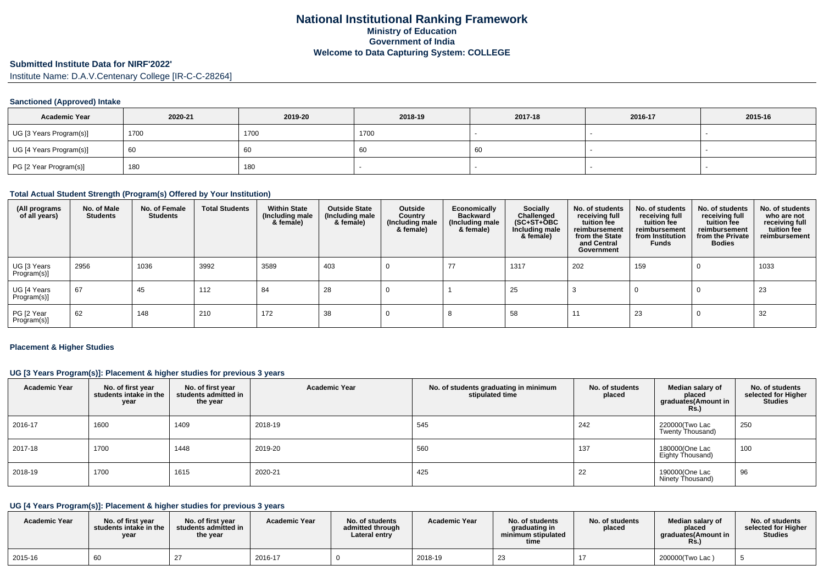# **Submitted Institute Data for NIRF'2022'**

Institute Name: D.A.V.Centenary College [IR-C-C-28264]

#### **Sanctioned (Approved) Intake**

| <b>Academic Year</b>    | 2020-21 | 2019-20 | 2018-19 | 2017-18 | 2016-17 | 2015-16 |
|-------------------------|---------|---------|---------|---------|---------|---------|
| UG [3 Years Program(s)] | 1700    | 1700    | 1700    |         |         |         |
| UG [4 Years Program(s)] | 60      | 60      | -60     | - 60    |         |         |
| PG [2 Year Program(s)]  | 180     | 180     |         |         |         |         |

#### **Total Actual Student Strength (Program(s) Offered by Your Institution)**

| (All programs<br>of all years) | No. of Male<br><b>Students</b> | No. of Female<br><b>Students</b> | <b>Total Students</b> | <b>Within State</b><br>(Including male<br>& female) | <b>Outside State</b><br>(Including male<br>& female) | Outside<br>Country<br>(Including male<br>& female) | Economically<br><b>Backward</b><br>(Including male<br>& female) | <b>Socially</b><br>Challenged<br>$(SC+ST+\text{O}BC)$<br>Including male<br>& female) | No. of students<br>receiving full<br>tuition fee<br>reimbursement<br>from the State<br>and Central<br>Government | No. of students<br>receiving full<br>tuition fee<br>reimbursement<br>from Institution<br><b>Funds</b> | No. of students<br>receiving full<br>tuition fee<br>reimbursement<br>from the Private<br><b>Bodies</b> | No. of students<br>who are not<br>receiving full<br>tuition fee<br>reimbursement |
|--------------------------------|--------------------------------|----------------------------------|-----------------------|-----------------------------------------------------|------------------------------------------------------|----------------------------------------------------|-----------------------------------------------------------------|--------------------------------------------------------------------------------------|------------------------------------------------------------------------------------------------------------------|-------------------------------------------------------------------------------------------------------|--------------------------------------------------------------------------------------------------------|----------------------------------------------------------------------------------|
| UG [3 Years<br>Program(s)]     | 2956                           | 1036                             | 3992                  | 3589                                                | 403                                                  |                                                    | 77                                                              | 1317                                                                                 | 202                                                                                                              | 159                                                                                                   | -0                                                                                                     | 1033                                                                             |
| UG [4 Years<br>Program(s)]     | 67                             | 45                               | 112                   | 84                                                  | 28                                                   |                                                    |                                                                 | 25                                                                                   |                                                                                                                  |                                                                                                       | U                                                                                                      | 23                                                                               |
| PG [2 Year<br>Program(s)]      | 62                             | 148                              | 210                   | 172                                                 | 38                                                   |                                                    |                                                                 | 58                                                                                   |                                                                                                                  | 23                                                                                                    | 0                                                                                                      | 32                                                                               |

#### **Placement & Higher Studies**

#### **UG [3 Years Program(s)]: Placement & higher studies for previous 3 years**

| <b>Academic Year</b> | No. of first year<br>students intake in the<br>year | No. of first year<br>students admitted in<br>the year | <b>Academic Year</b> | No. of students graduating in minimum<br>stipulated time | No. of students<br>placed | Median salary of<br>placed<br>graduates(Amount in<br>R <sub>S</sub> | No. of students<br>selected for Higher<br><b>Studies</b> |
|----------------------|-----------------------------------------------------|-------------------------------------------------------|----------------------|----------------------------------------------------------|---------------------------|---------------------------------------------------------------------|----------------------------------------------------------|
| 2016-17              | 1600                                                | 1409                                                  | 2018-19              | 545                                                      | 242                       | 220000(Two Lac<br>Twenty Thousand)                                  | 250                                                      |
| 2017-18              | 1700                                                | 1448                                                  | 2019-20              | 560                                                      | 137                       | 180000(One Lac<br>Eighty Thousand)                                  | 100                                                      |
| 2018-19              | 1700                                                | 1615                                                  | 2020-21              | 425                                                      | 22                        | 190000(One Lac<br>Ninety Thousand)                                  | 96                                                       |

## **UG [4 Years Program(s)]: Placement & higher studies for previous 3 years**

| <b>Academic Year</b> | No. of first vear<br>students intake in the<br>year | No. of first year<br>students admitted in<br>the year | <b>Academic Year</b> | No. of students<br>admitted through<br>Lateral entry | <b>Academic Year</b> | No. of students<br>araduating in<br>minimum stipulated<br>time | No. of students<br>placed | Median salary of<br>placed<br>araduates(Amount in<br>Rs. | No. of students<br>selected for Higher<br><b>Studies</b> |
|----------------------|-----------------------------------------------------|-------------------------------------------------------|----------------------|------------------------------------------------------|----------------------|----------------------------------------------------------------|---------------------------|----------------------------------------------------------|----------------------------------------------------------|
| 2015-16              |                                                     |                                                       | 2016-17              |                                                      | 2018-19              | -23                                                            |                           | 200000(Two Lac                                           |                                                          |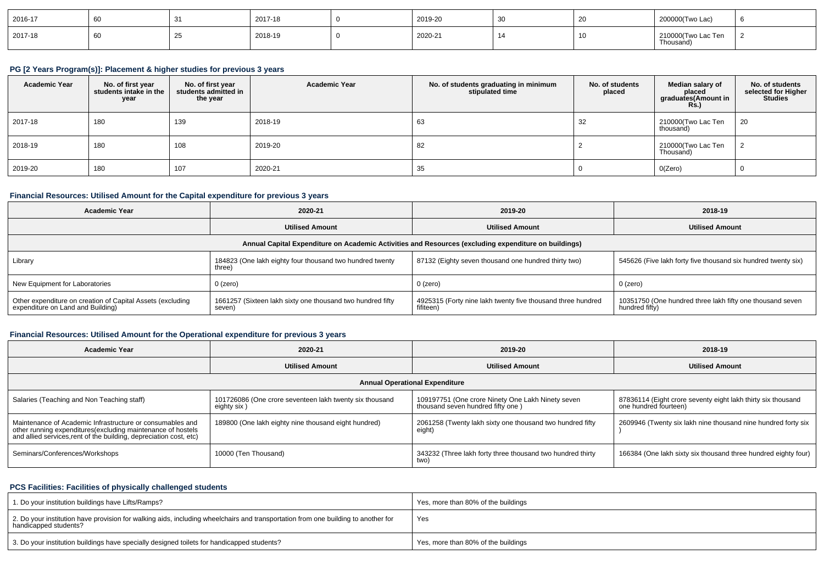| 2016-17 |    | 2017-18 | 2019-20 | ັບບ | $\sim$<br>້ | 200000(Two Lac)                |  |
|---------|----|---------|---------|-----|-------------|--------------------------------|--|
| 2017-18 | ົ້ | 2018-19 | 2020-21 |     |             | 210000(Two Lac Ten<br>Thousand |  |

#### **PG [2 Years Program(s)]: Placement & higher studies for previous 3 years**

| <b>Academic Year</b> | No. of first year<br>students intake in the<br>year | No. of first vear<br>students admitted in<br>the year | <b>Academic Year</b> | No. of students graduating in minimum<br>stipulated time | No. of students<br>placed | Median salary of<br>placed<br>graduates(Amount in<br>Rs. | No. of students<br>selected for Higher<br><b>Studies</b> |
|----------------------|-----------------------------------------------------|-------------------------------------------------------|----------------------|----------------------------------------------------------|---------------------------|----------------------------------------------------------|----------------------------------------------------------|
| 2017-18              | 180                                                 | 139                                                   | 2018-19              | 63                                                       | 32                        | 210000(Two Lac Ten<br>thousand)                          | 20                                                       |
| 2018-19              | 180                                                 | 108                                                   | 2019-20              | 82                                                       |                           | 210000(Two Lac Ten<br>Thousand)                          |                                                          |
| 2019-20              | 180                                                 | 107                                                   | 2020-21              | 35                                                       |                           | O(Zero)                                                  |                                                          |

#### **Financial Resources: Utilised Amount for the Capital expenditure for previous 3 years**

| <b>Academic Year</b>                                                                            | 2020-21                                                              |                                                                                                      | 2018-19                                                                     |  |
|-------------------------------------------------------------------------------------------------|----------------------------------------------------------------------|------------------------------------------------------------------------------------------------------|-----------------------------------------------------------------------------|--|
|                                                                                                 | <b>Utilised Amount</b>                                               |                                                                                                      | <b>Utilised Amount</b>                                                      |  |
|                                                                                                 |                                                                      | Annual Capital Expenditure on Academic Activities and Resources (excluding expenditure on buildings) |                                                                             |  |
| Library                                                                                         | 184823 (One lakh eighty four thousand two hundred twenty<br>three)   | 87132 (Eighty seven thousand one hundred thirty two)                                                 | 545626 (Five lakh forty five thousand six hundred twenty six)               |  |
| New Equipment for Laboratories                                                                  | $0$ (zero)                                                           | 0 (zero)                                                                                             | 0 (zero)                                                                    |  |
| Other expenditure on creation of Capital Assets (excluding<br>expenditure on Land and Building) | 1661257 (Sixteen lakh sixty one thousand two hundred fifty<br>seven) | 4925315 (Forty nine lakh twenty five thousand three hundred<br>fifiteen)                             | 10351750 (One hundred three lakh fifty one thousand seven<br>hundred fifty) |  |

## **Financial Resources: Utilised Amount for the Operational expenditure for previous 3 years**

| 2020-21<br><b>Academic Year</b>                                                                                                                                                                 |                                                                        | 2019-20                                                                                | 2018-19                                                                               |  |  |
|-------------------------------------------------------------------------------------------------------------------------------------------------------------------------------------------------|------------------------------------------------------------------------|----------------------------------------------------------------------------------------|---------------------------------------------------------------------------------------|--|--|
| <b>Utilised Amount</b>                                                                                                                                                                          |                                                                        | <b>Utilised Amount</b>                                                                 | <b>Utilised Amount</b>                                                                |  |  |
|                                                                                                                                                                                                 |                                                                        | <b>Annual Operational Expenditure</b>                                                  |                                                                                       |  |  |
| Salaries (Teaching and Non Teaching staff)                                                                                                                                                      | 101726086 (One crore seventeen lakh twenty six thousand<br>eighty six) | 109197751 (One crore Ninety One Lakh Ninety seven<br>thousand seven hundred fifty one) | 87836114 (Eight crore seventy eight lakh thirty six thousand<br>one hundred fourteen) |  |  |
| Maintenance of Academic Infrastructure or consumables and<br>other running expenditures (excluding maintenance of hostels<br>and allied services, rent of the building, depreciation cost, etc) | 189800 (One lakh eighty nine thousand eight hundred)                   | 2061258 (Twenty lakh sixty one thousand two hundred fifty<br>eight)                    | 2609946 (Twenty six lakh nine thousand nine hundred forty six                         |  |  |
| Seminars/Conferences/Workshops                                                                                                                                                                  | 10000 (Ten Thousand)                                                   | 343232 (Three lakh forty three thousand two hundred thirty<br>two)                     | 166384 (One lakh sixty six thousand three hundred eighty four)                        |  |  |

## **PCS Facilities: Facilities of physically challenged students**

| 1. Do your institution buildings have Lifts/Ramps?                                                                                                         | Yes, more than 80% of the buildings |
|------------------------------------------------------------------------------------------------------------------------------------------------------------|-------------------------------------|
| 2. Do your institution have provision for walking aids, including wheelchairs and transportation from one building to another for<br>handicapped students? | Yes                                 |
| 3. Do your institution buildings have specially designed toilets for handicapped students?                                                                 | Yes, more than 80% of the buildings |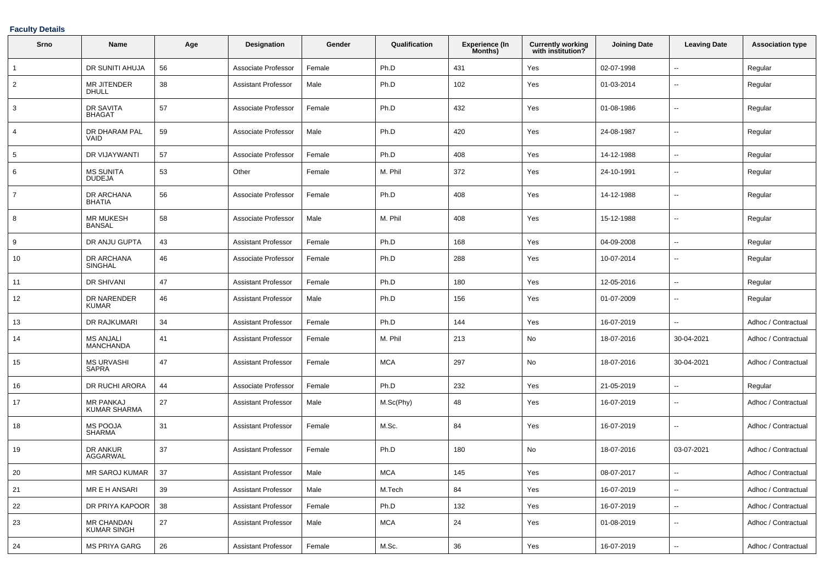### **Faculty Details**

| Srno           | Name                                    | Age | <b>Designation</b>         | Gender | Qualification | <b>Experience (In</b><br>Months) | <b>Currently working</b><br>with institution? | <b>Joining Date</b> | <b>Leaving Date</b>      | <b>Association type</b> |
|----------------|-----------------------------------------|-----|----------------------------|--------|---------------|----------------------------------|-----------------------------------------------|---------------------|--------------------------|-------------------------|
|                | DR SUNITI AHUJA                         | 56  | Associate Professor        | Female | Ph.D          | 431                              | Yes                                           | 02-07-1998          | $\overline{\phantom{a}}$ | Regular                 |
| $\overline{2}$ | MR JITENDER<br><b>DHULL</b>             | 38  | Assistant Professor        | Male   | Ph.D          | 102                              | Yes                                           | 01-03-2014          | --                       | Regular                 |
| 3              | <b>DR SAVITA</b><br><b>BHAGAT</b>       | 57  | Associate Professor        | Female | Ph.D          | 432                              | Yes                                           | 01-08-1986          | --                       | Regular                 |
| 4              | DR DHARAM PAL<br>VAID                   | 59  | Associate Professor        | Male   | Ph.D          | 420                              | Yes                                           | 24-08-1987          | --                       | Regular                 |
| 5              | <b>DR VIJAYWANTI</b>                    | 57  | Associate Professor        | Female | Ph.D          | 408                              | Yes                                           | 14-12-1988          | ۰.                       | Regular                 |
| 6              | <b>MS SUNITA</b><br><b>DUDEJA</b>       | 53  | Other                      | Female | M. Phil       | 372                              | Yes                                           | 24-10-1991          | $\sim$                   | Regular                 |
| $\overline{7}$ | DR ARCHANA<br><b>BHATIA</b>             | 56  | Associate Professor        | Female | Ph.D          | 408                              | Yes                                           | 14-12-1988          | $\overline{\phantom{a}}$ | Regular                 |
| 8              | <b>MR MUKESH</b><br><b>BANSAL</b>       | 58  | Associate Professor        | Male   | M. Phil       | 408                              | Yes                                           | 15-12-1988          | $\overline{\phantom{a}}$ | Regular                 |
| 9              | DR ANJU GUPTA                           | 43  | Assistant Professor        | Female | Ph.D          | 168                              | Yes                                           | 04-09-2008          | ۰.                       | Regular                 |
| 10             | DR ARCHANA<br><b>SINGHAL</b>            | 46  | Associate Professor        | Female | Ph.D          | 288                              | Yes                                           | 10-07-2014          | ۰.                       | Regular                 |
| 11             | <b>DR SHIVANI</b>                       | 47  | Assistant Professor        | Female | Ph.D          | 180                              | Yes                                           | 12-05-2016          | ۰.                       | Regular                 |
| 12             | DR NARENDER<br><b>KUMAR</b>             | 46  | Assistant Professor        | Male   | Ph.D          | 156                              | Yes                                           | 01-07-2009          | ۰.                       | Regular                 |
| 13             | DR RAJKUMARI                            | 34  | <b>Assistant Professor</b> | Female | Ph.D          | 144                              | Yes                                           | 16-07-2019          | Ξ.                       | Adhoc / Contractual     |
| 14             | <b>MS ANJALI</b><br><b>MANCHANDA</b>    | 41  | <b>Assistant Professor</b> | Female | M. Phil       | 213                              | No                                            | 18-07-2016          | 30-04-2021               | Adhoc / Contractual     |
| 15             | <b>MS URVASHI</b><br><b>SAPRA</b>       | 47  | <b>Assistant Professor</b> | Female | <b>MCA</b>    | 297                              | No                                            | 18-07-2016          | 30-04-2021               | Adhoc / Contractual     |
| 16             | DR RUCHI ARORA                          | 44  | Associate Professor        | Female | Ph.D          | 232                              | Yes                                           | 21-05-2019          | --                       | Regular                 |
| 17             | <b>MR PANKAJ</b><br><b>KUMAR SHARMA</b> | 27  | Assistant Professor        | Male   | M.Sc(Phy)     | 48                               | Yes                                           | 16-07-2019          | $\overline{\phantom{a}}$ | Adhoc / Contractual     |
| 18             | MS POOJA<br><b>SHARMA</b>               | 31  | Assistant Professor        | Female | M.Sc.         | 84                               | Yes                                           | 16-07-2019          | ۰.                       | Adhoc / Contractual     |
| 19             | DR ANKUR<br>AGGARWAL                    | 37  | Assistant Professor        | Female | Ph.D          | 180                              | No                                            | 18-07-2016          | 03-07-2021               | Adhoc / Contractual     |
| 20             | MR SAROJ KUMAR                          | 37  | <b>Assistant Professor</b> | Male   | <b>MCA</b>    | 145                              | Yes                                           | 08-07-2017          |                          | Adhoc / Contractual     |
| 21             | MR E H ANSARI                           | 39  | <b>Assistant Professor</b> | Male   | M.Tech        | 84                               | Yes                                           | 16-07-2019          | $\overline{\phantom{a}}$ | Adhoc / Contractual     |
| 22             | DR PRIYA KAPOOR                         | 38  | <b>Assistant Professor</b> | Female | Ph.D          | 132                              | Yes                                           | 16-07-2019          | --                       | Adhoc / Contractual     |
| 23             | MR CHANDAN<br><b>KUMAR SINGH</b>        | 27  | <b>Assistant Professor</b> | Male   | <b>MCA</b>    | 24                               | Yes                                           | 01-08-2019          | $\overline{\phantom{a}}$ | Adhoc / Contractual     |
| 24             | <b>MS PRIYA GARG</b>                    | 26  | <b>Assistant Professor</b> | Female | M.Sc.         | 36                               | Yes                                           | 16-07-2019          | $\overline{\phantom{a}}$ | Adhoc / Contractual     |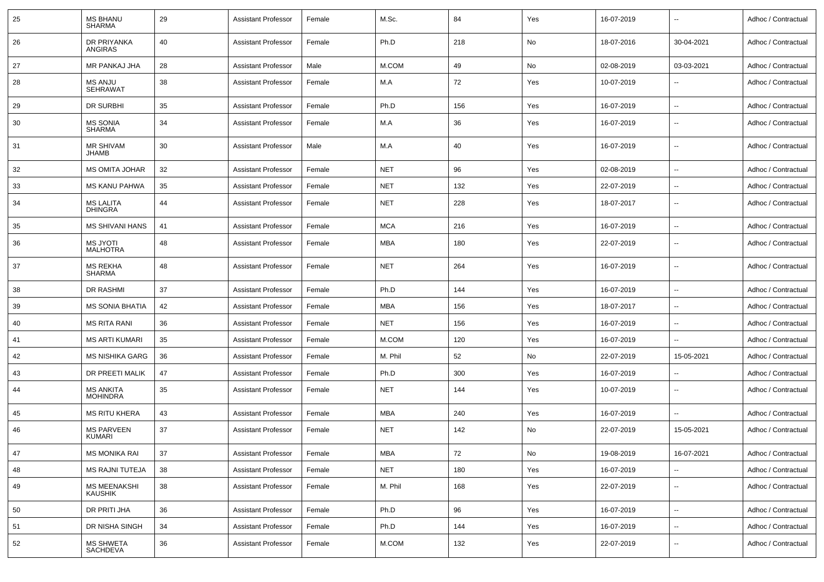| 25 | <b>MS BHANU</b><br><b>SHARMA</b>    | 29 | <b>Assistant Professor</b> | Female | M.Sc.      | 84  | Yes | 16-07-2019 | $\overline{\phantom{a}}$ | Adhoc / Contractual |
|----|-------------------------------------|----|----------------------------|--------|------------|-----|-----|------------|--------------------------|---------------------|
| 26 | DR PRIYANKA<br>ANGIRAS              | 40 | <b>Assistant Professor</b> | Female | Ph.D       | 218 | No  | 18-07-2016 | 30-04-2021               | Adhoc / Contractual |
| 27 | MR PANKAJ JHA                       | 28 | <b>Assistant Professor</b> | Male   | M.COM      | 49  | No  | 02-08-2019 | 03-03-2021               | Adhoc / Contractual |
| 28 | <b>MS ANJU</b><br><b>SEHRAWAT</b>   | 38 | <b>Assistant Professor</b> | Female | M.A        | 72  | Yes | 10-07-2019 |                          | Adhoc / Contractual |
| 29 | DR SURBHI                           | 35 | <b>Assistant Professor</b> | Female | Ph.D       | 156 | Yes | 16-07-2019 | ۰.                       | Adhoc / Contractual |
| 30 | <b>MS SONIA</b><br><b>SHARMA</b>    | 34 | <b>Assistant Professor</b> | Female | M.A        | 36  | Yes | 16-07-2019 | $\overline{\phantom{a}}$ | Adhoc / Contractual |
| 31 | <b>MR SHIVAM</b><br><b>JHAMB</b>    | 30 | <b>Assistant Professor</b> | Male   | M.A        | 40  | Yes | 16-07-2019 | $\overline{\phantom{a}}$ | Adhoc / Contractual |
| 32 | <b>MS OMITA JOHAR</b>               | 32 | <b>Assistant Professor</b> | Female | <b>NET</b> | 96  | Yes | 02-08-2019 | --                       | Adhoc / Contractual |
| 33 | <b>MS KANU PAHWA</b>                | 35 | <b>Assistant Professor</b> | Female | <b>NET</b> | 132 | Yes | 22-07-2019 | ۰.                       | Adhoc / Contractual |
| 34 | <b>MS LALITA</b><br><b>DHINGRA</b>  | 44 | <b>Assistant Professor</b> | Female | <b>NET</b> | 228 | Yes | 18-07-2017 | $\overline{\phantom{a}}$ | Adhoc / Contractual |
| 35 | <b>MS SHIVANI HANS</b>              | 41 | <b>Assistant Professor</b> | Female | <b>MCA</b> | 216 | Yes | 16-07-2019 | $\sim$                   | Adhoc / Contractual |
| 36 | <b>MS JYOTI</b><br><b>MALHOTRA</b>  | 48 | <b>Assistant Professor</b> | Female | MBA        | 180 | Yes | 22-07-2019 | $\sim$                   | Adhoc / Contractual |
| 37 | <b>MS REKHA</b><br><b>SHARMA</b>    | 48 | <b>Assistant Professor</b> | Female | <b>NET</b> | 264 | Yes | 16-07-2019 | $\mathbf{u}$             | Adhoc / Contractual |
| 38 | <b>DR RASHMI</b>                    | 37 | <b>Assistant Professor</b> | Female | Ph.D       | 144 | Yes | 16-07-2019 | --                       | Adhoc / Contractual |
| 39 | <b>MS SONIA BHATIA</b>              | 42 | <b>Assistant Professor</b> | Female | MBA        | 156 | Yes | 18-07-2017 | $\overline{\phantom{a}}$ | Adhoc / Contractual |
| 40 | <b>MS RITA RANI</b>                 | 36 | <b>Assistant Professor</b> | Female | <b>NET</b> | 156 | Yes | 16-07-2019 |                          | Adhoc / Contractual |
| 41 | <b>MS ARTI KUMARI</b>               | 35 | <b>Assistant Professor</b> | Female | M.COM      | 120 | Yes | 16-07-2019 | --                       | Adhoc / Contractual |
| 42 | MS NISHIKA GARG                     | 36 | <b>Assistant Professor</b> | Female | M. Phil    | 52  | No  | 22-07-2019 | 15-05-2021               | Adhoc / Contractual |
| 43 | DR PREETI MALIK                     | 47 | <b>Assistant Professor</b> | Female | Ph.D       | 300 | Yes | 16-07-2019 |                          | Adhoc / Contractual |
| 44 | <b>MS ANKITA</b><br><b>MOHINDRA</b> | 35 | <b>Assistant Professor</b> | Female | <b>NET</b> | 144 | Yes | 10-07-2019 | ۰.                       | Adhoc / Contractual |
| 45 | <b>MS RITU KHERA</b>                | 43 | <b>Assistant Professor</b> | Female | <b>MBA</b> | 240 | Yes | 16-07-2019 | $\overline{a}$           | Adhoc / Contractual |
| 46 | <b>MS PARVEEN</b><br>KUMARI         | 37 | <b>Assistant Professor</b> | Female | <b>NET</b> | 142 | No  | 22-07-2019 | 15-05-2021               | Adhoc / Contractual |
| 47 | <b>MS MONIKA RAI</b>                | 37 | <b>Assistant Professor</b> | Female | <b>MBA</b> | 72  | No  | 19-08-2019 | 16-07-2021               | Adhoc / Contractual |
| 48 | <b>MS RAJNI TUTEJA</b>              | 38 | <b>Assistant Professor</b> | Female | <b>NET</b> | 180 | Yes | 16-07-2019 | --                       | Adhoc / Contractual |
| 49 | MS MEENAKSHI<br><b>KAUSHIK</b>      | 38 | <b>Assistant Professor</b> | Female | M. Phil    | 168 | Yes | 22-07-2019 | $\overline{\phantom{a}}$ | Adhoc / Contractual |
| 50 | DR PRITI JHA                        | 36 | <b>Assistant Professor</b> | Female | Ph.D       | 96  | Yes | 16-07-2019 | $\overline{\phantom{a}}$ | Adhoc / Contractual |
| 51 | DR NISHA SINGH                      | 34 | <b>Assistant Professor</b> | Female | Ph.D       | 144 | Yes | 16-07-2019 | $\overline{\phantom{a}}$ | Adhoc / Contractual |
| 52 | <b>MS SHWETA</b><br>SACHDEVA        | 36 | <b>Assistant Professor</b> | Female | M.COM      | 132 | Yes | 22-07-2019 | $\overline{\phantom{a}}$ | Adhoc / Contractual |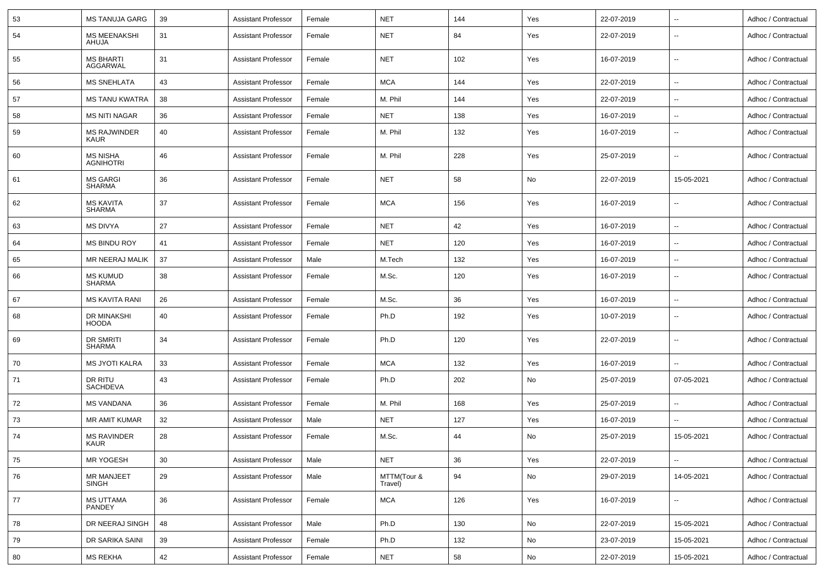| 53 | <b>MS TANUJA GARG</b>               | 39 | Assistant Professor        | Female | <b>NET</b>             | 144 | Yes | 22-07-2019 | Ξ.                       | Adhoc / Contractual |
|----|-------------------------------------|----|----------------------------|--------|------------------------|-----|-----|------------|--------------------------|---------------------|
| 54 | <b>MS MEENAKSHI</b><br>AHUJA        | 31 | Assistant Professor        | Female | <b>NET</b>             | 84  | Yes | 22-07-2019 | ۰.                       | Adhoc / Contractual |
| 55 | <b>MS BHARTI</b><br>AGGARWAL        | 31 | <b>Assistant Professor</b> | Female | <b>NET</b>             | 102 | Yes | 16-07-2019 | ۰.                       | Adhoc / Contractual |
| 56 | <b>MS SNEHLATA</b>                  | 43 | <b>Assistant Professor</b> | Female | <b>MCA</b>             | 144 | Yes | 22-07-2019 | ۰.                       | Adhoc / Contractual |
| 57 | <b>MS TANU KWATRA</b>               | 38 | Assistant Professor        | Female | M. Phil                | 144 | Yes | 22-07-2019 | ۰.                       | Adhoc / Contractual |
| 58 | <b>MS NITI NAGAR</b>                | 36 | <b>Assistant Professor</b> | Female | <b>NET</b>             | 138 | Yes | 16-07-2019 | --                       | Adhoc / Contractual |
| 59 | <b>MS RAJWINDER</b><br><b>KAUR</b>  | 40 | <b>Assistant Professor</b> | Female | M. Phil                | 132 | Yes | 16-07-2019 | ۰.                       | Adhoc / Contractual |
| 60 | <b>MS NISHA</b><br><b>AGNIHOTRI</b> | 46 | <b>Assistant Professor</b> | Female | M. Phil                | 228 | Yes | 25-07-2019 | ۰.                       | Adhoc / Contractual |
| 61 | <b>MS GARGI</b><br><b>SHARMA</b>    | 36 | <b>Assistant Professor</b> | Female | <b>NET</b>             | 58  | No  | 22-07-2019 | 15-05-2021               | Adhoc / Contractual |
| 62 | <b>MS KAVITA</b><br><b>SHARMA</b>   | 37 | <b>Assistant Professor</b> | Female | <b>MCA</b>             | 156 | Yes | 16-07-2019 | ۰.                       | Adhoc / Contractual |
| 63 | <b>MS DIVYA</b>                     | 27 | <b>Assistant Professor</b> | Female | <b>NET</b>             | 42  | Yes | 16-07-2019 | ۰.                       | Adhoc / Contractual |
| 64 | <b>MS BINDU ROY</b>                 | 41 | Assistant Professor        | Female | <b>NET</b>             | 120 | Yes | 16-07-2019 | $\overline{\phantom{a}}$ | Adhoc / Contractual |
| 65 | MR NEERAJ MALIK                     | 37 | Assistant Professor        | Male   | M.Tech                 | 132 | Yes | 16-07-2019 | $\overline{\phantom{a}}$ | Adhoc / Contractual |
| 66 | <b>MS KUMUD</b><br><b>SHARMA</b>    | 38 | Assistant Professor        | Female | M.Sc.                  | 120 | Yes | 16-07-2019 | ۰.                       | Adhoc / Contractual |
| 67 | <b>MS KAVITA RANI</b>               | 26 | <b>Assistant Professor</b> | Female | M.Sc.                  | 36  | Yes | 16-07-2019 | ۰.                       | Adhoc / Contractual |
| 68 | DR MINAKSHI<br><b>HOODA</b>         | 40 | Assistant Professor        | Female | Ph.D                   | 192 | Yes | 10-07-2019 | --                       | Adhoc / Contractual |
| 69 | DR SMRITI<br>SHARMA                 | 34 | <b>Assistant Professor</b> | Female | Ph.D                   | 120 | Yes | 22-07-2019 | --                       | Adhoc / Contractual |
| 70 | <b>MS JYOTI KALRA</b>               | 33 | Assistant Professor        | Female | <b>MCA</b>             | 132 | Yes | 16-07-2019 | --                       | Adhoc / Contractual |
| 71 | DR RITU<br><b>SACHDEVA</b>          | 43 | <b>Assistant Professor</b> | Female | Ph.D                   | 202 | No  | 25-07-2019 | 07-05-2021               | Adhoc / Contractual |
| 72 | <b>MS VANDANA</b>                   | 36 | <b>Assistant Professor</b> | Female | M. Phil                | 168 | Yes | 25-07-2019 | --                       | Adhoc / Contractual |
| 73 | MR AMIT KUMAR                       | 32 | <b>Assistant Professor</b> | Male   | <b>NET</b>             | 127 | Yes | 16-07-2019 | --                       | Adhoc / Contractual |
| 74 | <b>MS RAVINDER</b><br>KAUR          | 28 | Assistant Professor        | Female | M.Sc.                  | 44  | No  | 25-07-2019 | 15-05-2021               | Adhoc / Contractual |
| 75 | <b>MR YOGESH</b>                    | 30 | <b>Assistant Professor</b> | Male   | <b>NET</b>             | 36  | Yes | 22-07-2019 | Ξ.                       | Adhoc / Contractual |
| 76 | <b>MR MANJEET</b><br><b>SINGH</b>   | 29 | <b>Assistant Professor</b> | Male   | MTTM(Tour &<br>Travel) | 94  | No  | 29-07-2019 | 14-05-2021               | Adhoc / Contractual |
| 77 | <b>MS UTTAMA</b><br>PANDEY          | 36 | <b>Assistant Professor</b> | Female | <b>MCA</b>             | 126 | Yes | 16-07-2019 | Ξ.                       | Adhoc / Contractual |
| 78 | DR NEERAJ SINGH                     | 48 | <b>Assistant Professor</b> | Male   | Ph.D                   | 130 | No  | 22-07-2019 | 15-05-2021               | Adhoc / Contractual |
| 79 | DR SARIKA SAINI                     | 39 | <b>Assistant Professor</b> | Female | Ph.D                   | 132 | No  | 23-07-2019 | 15-05-2021               | Adhoc / Contractual |
| 80 | <b>MS REKHA</b>                     | 42 | <b>Assistant Professor</b> | Female | <b>NET</b>             | 58  | No  | 22-07-2019 | 15-05-2021               | Adhoc / Contractual |